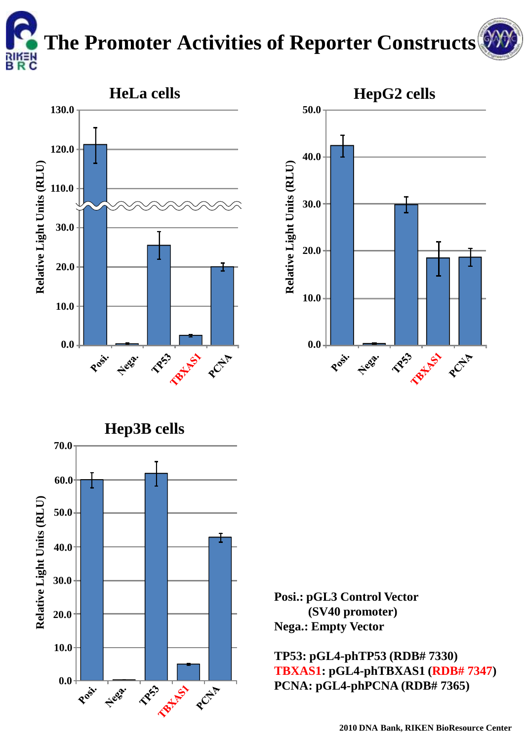







**Posi.: pGL3 Control Vector (SV40 promoter) Nega.: Empty Vector**

**TP53: pGL4-phTP53 (RDB# 7330) TBXAS1: pGL4-phTBXAS1 (RDB# 7347) PCNA: pGL4-phPCNA (RDB# 7365)**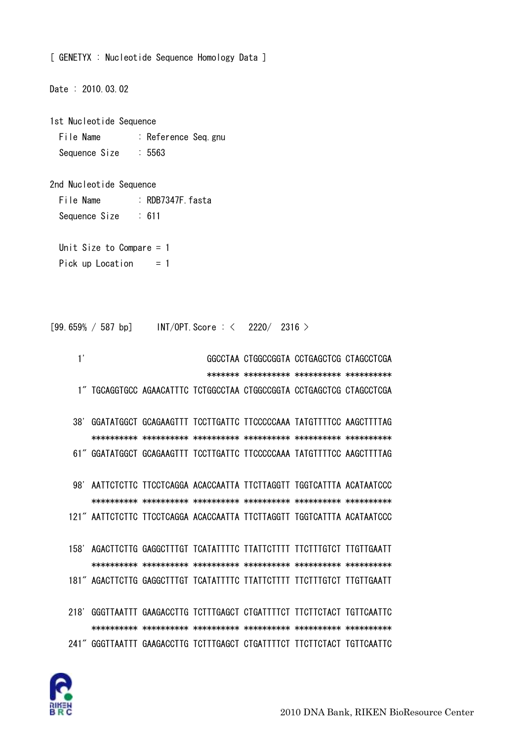

| 1st Nucleotide Sequence    |                                                                        |                                          |
|----------------------------|------------------------------------------------------------------------|------------------------------------------|
| File Name                  | : Reference Seq gnu                                                    |                                          |
| Sequence Size : 5563       |                                                                        |                                          |
|                            |                                                                        |                                          |
| 2nd Nucleotide Sequence    |                                                                        |                                          |
| File Name                  | : RDB7347F fasta                                                       |                                          |
| Sequence Size : 611        |                                                                        |                                          |
|                            |                                                                        |                                          |
| Unit Size to Compare $= 1$ |                                                                        |                                          |
| Pick up Location $= 1$     |                                                                        |                                          |
|                            |                                                                        |                                          |
|                            |                                                                        |                                          |
|                            | [99.659% / 587 bp] INT/OPT. Score: $\langle$ 2220/ 2316 >              |                                          |
|                            |                                                                        |                                          |
| 1'                         |                                                                        | GGCCTAA CTGGCCGGTA CCTGAGCTCG CTAGCCTCGA |
|                            |                                                                        |                                          |
|                            | 1" TGCAGGTGCC AGAACATTTC TCTGGCCTAA CTGGCCGGTA CCTGAGCTCG CTAGCCTCGA   |                                          |
|                            |                                                                        |                                          |
|                            | 38' GGATATGGCT GCAGAAGTTT TCCTTGATTC TTCCCCCAAA TATGTTTTCC AAGCTTTTAG  |                                          |
|                            |                                                                        |                                          |
|                            | 61" GGATATGGCT GCAGAAGTTT TCCTTGATTC TTCCCCCAAA TATGTTTTCC AAGCTTTTAG  |                                          |
|                            |                                                                        |                                          |
| 98'                        | AATTCTCTTC TTCCTCAGGA ACACCAATTA TTCTTAGGTT TGGTCATTTA ACATAATCCC      |                                          |
|                            |                                                                        |                                          |
|                            | 121" AATTCTCTTC TTCCTCAGGA ACACCAATTA TTCTTAGGTT TGGTCATTTA ACATAATCCC |                                          |
|                            | 158' AGACTTCTTG GAGGCTTTGT TCATATTTTC TTATTCTTTT TTCTTTGTCT TTGTTGAATT |                                          |
|                            |                                                                        |                                          |
|                            | 181" AGACTTCTTG GAGGCTTTGT TCATATTTTC TTATTCTTTT TTCTTTGTCT TTGTTGAATT |                                          |
|                            |                                                                        |                                          |
|                            | 218' GGGTTAATTT GAAGACCTTG TCTTTGAGCT CTGATTTTCT TTCTTCTACT TGTTCAATTC |                                          |
|                            |                                                                        |                                          |
|                            | 241" GGGTTAATTT GAAGACCTTG TCTTTGAGCT CTGATTTTCT TTCTTCTACT TGTTCAATTC |                                          |

[ GENETYX : Nucleotide Sequence Homology Data ]

Date: 2010.03.02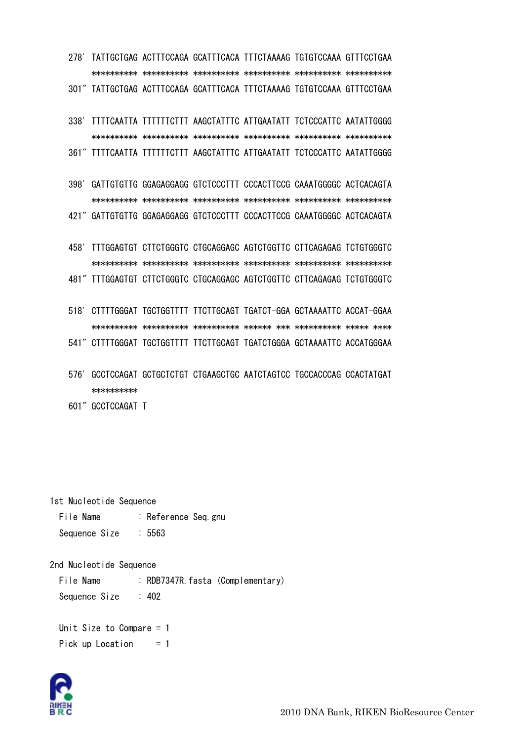278' TATTGCTGAG ACTTTCCAGA GCATTTCACA TTTCTAAAAG TGTGTCCAAA GTTTCCTGAA \*\*\*\*\*\*\*\*\*\* \*\*\*\*\*\*\*\*\*\* \*\*\*\*\*\*\*\*\*\* \*\*\*\*\*\*\*\*\*\* \*\*\*\*\*\*\*\*\*\* \*\*\*\*\*\*\*\*\*\* 301" TATTGCTGAG ACTTTCCAGA GCATTTCACA TTTCTAAAAG TGTGTCCAAA GTTTCCTGAA

 338' TTTTCAATTA TTTTTTCTTT AAGCTATTTC ATTGAATATT TCTCCCATTC AATATTGGGG \*\*\*\*\*\*\*\*\*\* \*\*\*\*\*\*\*\*\*\* \*\*\*\*\*\*\*\*\*\* \*\*\*\*\*\*\*\*\*\* \*\*\*\*\*\*\*\*\*\* \*\*\*\*\*\*\*\*\*\* 361" TTTTCAATTA TTTTTTCTTT AAGCTATTTC ATTGAATATT TCTCCCATTC AATATTGGGG

 398' GATTGTGTTG GGAGAGGAGG GTCTCCCTTT CCCACTTCCG CAAATGGGGC ACTCACAGTA \*\*\*\*\*\*\*\*\*\* \*\*\*\*\*\*\*\*\*\* \*\*\*\*\*\*\*\*\*\* \*\*\*\*\*\*\*\*\*\* \*\*\*\*\*\*\*\*\*\* \*\*\*\*\*\*\*\*\*\* 421" GATTGTGTTG GGAGAGGAGG GTCTCCCTTT CCCACTTCCG CAAATGGGGC ACTCACAGTA

 458' TTTGGAGTGT CTTCTGGGTC CTGCAGGAGC AGTCTGGTTC CTTCAGAGAG TCTGTGGGTC \*\*\*\*\*\*\*\*\*\* \*\*\*\*\*\*\*\*\*\* \*\*\*\*\*\*\*\*\*\* \*\*\*\*\*\*\*\*\*\* \*\*\*\*\*\*\*\*\*\* \*\*\*\*\*\*\*\*\*\* 481" TTTGGAGTGT CTTCTGGGTC CTGCAGGAGC AGTCTGGTTC CTTCAGAGAG TCTGTGGGTC

 518' CTTTTGGGAT TGCTGGTTTT TTCTTGCAGT TGATCT-GGA GCTAAAATTC ACCAT-GGAA \*\*\*\*\*\*\*\*\*\* \*\*\*\*\*\*\*\*\*\* \*\*\*\*\*\*\*\*\*\* \*\*\*\*\*\* \*\*\* \*\*\*\*\*\*\*\*\*\* \*\*\*\*\* \*\*\*\* 541" CTTTTGGGAT TGCTGGTTTT TTCTTGCAGT TGATCTGGGA GCTAAAATTC ACCATGGGAA

- 576' GCCTCCAGAT GCTGCTCTGT CTGAAGCTGC AATCTAGTCC TGCCACCCAG CCACTATGAT \*\*\*\*\*\*\*\*\*\*
- 601" GCCTCCAGAT T

1st Nucleotide Sequence

File Name : Reference Seq.gnu Sequence Size : 5563

2nd Nucleotide Sequence

File Name : RDB7347R.fasta (Complementary) Sequence Size : 402

 Unit Size to Compare = 1 Pick up Location  $= 1$